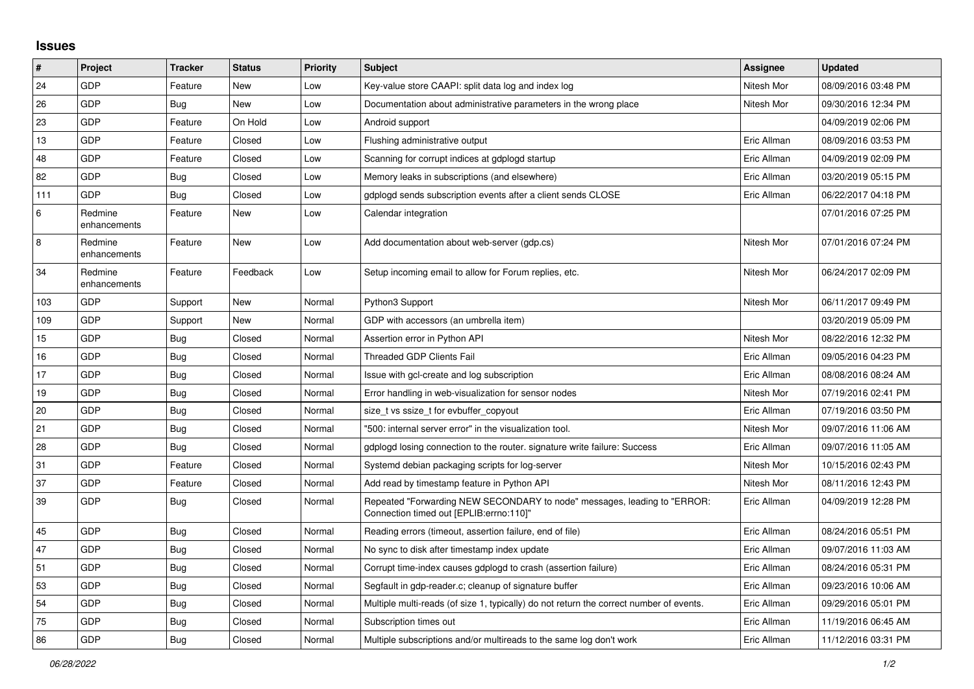## **Issues**

| $\vert$ # | Project                 | <b>Tracker</b> | <b>Status</b> | <b>Priority</b> | <b>Subject</b>                                                                                                      | Assignee    | <b>Updated</b>      |
|-----------|-------------------------|----------------|---------------|-----------------|---------------------------------------------------------------------------------------------------------------------|-------------|---------------------|
| 24        | GDP                     | Feature        | New           | Low             | Key-value store CAAPI: split data log and index log                                                                 | Nitesh Mor  | 08/09/2016 03:48 PM |
| 26        | GDP                     | Bug            | <b>New</b>    | Low             | Documentation about administrative parameters in the wrong place                                                    | Nitesh Mor  | 09/30/2016 12:34 PM |
| 23        | GDP                     | Feature        | On Hold       | Low             | Android support                                                                                                     |             | 04/09/2019 02:06 PM |
| 13        | <b>GDP</b>              | Feature        | Closed        | Low             | Flushing administrative output                                                                                      | Eric Allman | 08/09/2016 03:53 PM |
| 48        | GDP                     | Feature        | Closed        | Low             | Scanning for corrupt indices at gdplogd startup                                                                     | Eric Allman | 04/09/2019 02:09 PM |
| 82        | GDP                     | Bug            | Closed        | Low             | Memory leaks in subscriptions (and elsewhere)                                                                       | Eric Allman | 03/20/2019 05:15 PM |
| 111       | <b>GDP</b>              | <b>Bug</b>     | Closed        | Low             | gdplogd sends subscription events after a client sends CLOSE                                                        | Eric Allman | 06/22/2017 04:18 PM |
| 6         | Redmine<br>enhancements | Feature        | New           | Low             | Calendar integration                                                                                                |             | 07/01/2016 07:25 PM |
| $\,8\,$   | Redmine<br>enhancements | Feature        | New           | Low             | Add documentation about web-server (gdp.cs)                                                                         | Nitesh Mor  | 07/01/2016 07:24 PM |
| 34        | Redmine<br>enhancements | Feature        | Feedback      | Low             | Setup incoming email to allow for Forum replies, etc.                                                               | Nitesh Mor  | 06/24/2017 02:09 PM |
| 103       | GDP                     | Support        | <b>New</b>    | Normal          | Python3 Support                                                                                                     | Nitesh Mor  | 06/11/2017 09:49 PM |
| 109       | <b>GDP</b>              | Support        | New           | Normal          | GDP with accessors (an umbrella item)                                                                               |             | 03/20/2019 05:09 PM |
| 15        | GDP                     | Bug            | Closed        | Normal          | Assertion error in Python API                                                                                       | Nitesh Mor  | 08/22/2016 12:32 PM |
| 16        | GDP                     | Bug            | Closed        | Normal          | <b>Threaded GDP Clients Fail</b>                                                                                    | Eric Allman | 09/05/2016 04:23 PM |
| 17        | GDP                     | Bug            | Closed        | Normal          | Issue with gcl-create and log subscription                                                                          | Eric Allman | 08/08/2016 08:24 AM |
| 19        | GDP                     | <b>Bug</b>     | Closed        | Normal          | Error handling in web-visualization for sensor nodes                                                                | Nitesh Mor  | 07/19/2016 02:41 PM |
| 20        | GDP                     | Bug            | Closed        | Normal          | size t vs ssize t for evbuffer copyout                                                                              | Eric Allman | 07/19/2016 03:50 PM |
| 21        | GDP                     | Bug            | Closed        | Normal          | "500: internal server error" in the visualization tool.                                                             | Nitesh Mor  | 09/07/2016 11:06 AM |
| 28        | GDP                     | Bug            | Closed        | Normal          | gdplogd losing connection to the router. signature write failure: Success                                           | Eric Allman | 09/07/2016 11:05 AM |
| 31        | GDP                     | Feature        | Closed        | Normal          | Systemd debian packaging scripts for log-server                                                                     | Nitesh Mor  | 10/15/2016 02:43 PM |
| 37        | GDP                     | Feature        | Closed        | Normal          | Add read by timestamp feature in Python API                                                                         | Nitesh Mor  | 08/11/2016 12:43 PM |
| 39        | <b>GDP</b>              | Bug            | Closed        | Normal          | Repeated "Forwarding NEW SECONDARY to node" messages, leading to "ERROR:<br>Connection timed out [EPLIB:errno:110]" | Eric Allman | 04/09/2019 12:28 PM |
| 45        | GDP                     | <b>Bug</b>     | Closed        | Normal          | Reading errors (timeout, assertion failure, end of file)                                                            | Eric Allman | 08/24/2016 05:51 PM |
| 47        | <b>GDP</b>              | Bug            | Closed        | Normal          | No sync to disk after timestamp index update                                                                        | Eric Allman | 09/07/2016 11:03 AM |
| 51        | GDP                     | <b>Bug</b>     | Closed        | Normal          | Corrupt time-index causes gdplogd to crash (assertion failure)                                                      | Eric Allman | 08/24/2016 05:31 PM |
| 53        | GDP                     | Bug            | Closed        | Normal          | Segfault in gdp-reader.c; cleanup of signature buffer                                                               | Eric Allman | 09/23/2016 10:06 AM |
| 54        | <b>GDP</b>              | <b>Bug</b>     | Closed        | Normal          | Multiple multi-reads (of size 1, typically) do not return the correct number of events.                             | Eric Allman | 09/29/2016 05:01 PM |
| 75        | GDP                     | Bug            | Closed        | Normal          | Subscription times out                                                                                              | Eric Allman | 11/19/2016 06:45 AM |
| 86        | GDP                     | <b>Bug</b>     | Closed        | Normal          | Multiple subscriptions and/or multireads to the same log don't work                                                 | Eric Allman | 11/12/2016 03:31 PM |